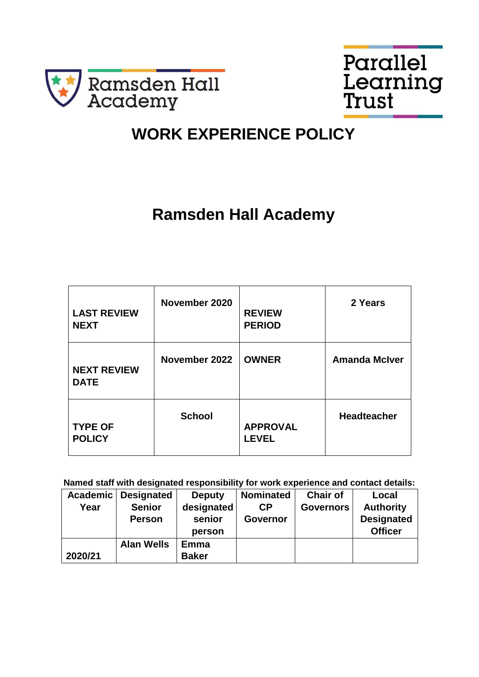



# **WORK EXPERIENCE POLICY**

# **Ramsden Hall Academy**

| <b>LAST REVIEW</b><br><b>NEXT</b> | November 2020 | <b>REVIEW</b><br><b>PERIOD</b>  | 2 Years              |
|-----------------------------------|---------------|---------------------------------|----------------------|
| <b>NEXT REVIEW</b><br><b>DATE</b> | November 2022 | <b>OWNER</b>                    | <b>Amanda McIver</b> |
| <b>TYPE OF</b><br><b>POLICY</b>   | <b>School</b> | <b>APPROVAL</b><br><b>LEVEL</b> | <b>Headteacher</b>   |

**Named staff with designated responsibility for work experience and contact details:** 

|         | Academic   Designated | <b>Deputy</b> | <b>Nominated</b> | <b>Chair of</b>  | Local             |
|---------|-----------------------|---------------|------------------|------------------|-------------------|
| Year    | <b>Senior</b>         | designated    | СP               | <b>Governors</b> | <b>Authority</b>  |
|         | <b>Person</b>         | senior        | <b>Governor</b>  |                  | <b>Designated</b> |
|         |                       | person        |                  |                  | <b>Officer</b>    |
|         | <b>Alan Wells</b>     | Emma          |                  |                  |                   |
| 2020/21 |                       | <b>Baker</b>  |                  |                  |                   |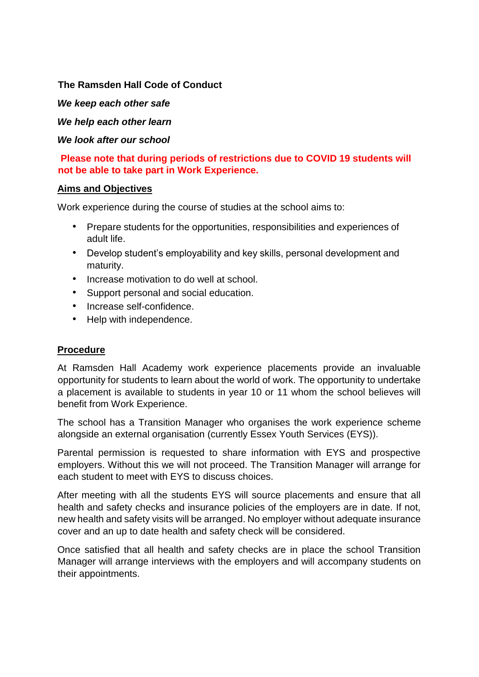#### **The Ramsden Hall Code of Conduct**

*We keep each other safe* 

*We help each other learn* 

*We look after our school* 

**Please note that during periods of restrictions due to COVID 19 students will not be able to take part in Work Experience.**

#### **Aims and Objectives**

Work experience during the course of studies at the school aims to:

- Prepare students for the opportunities, responsibilities and experiences of adult life.
- Develop student's employability and key skills, personal development and maturity.
- Increase motivation to do well at school.
- Support personal and social education.
- Increase self-confidence.
- Help with independence.

#### **Procedure**

At Ramsden Hall Academy work experience placements provide an invaluable opportunity for students to learn about the world of work. The opportunity to undertake a placement is available to students in year 10 or 11 whom the school believes will benefit from Work Experience.

The school has a Transition Manager who organises the work experience scheme alongside an external organisation (currently Essex Youth Services (EYS)).

Parental permission is requested to share information with EYS and prospective employers. Without this we will not proceed. The Transition Manager will arrange for each student to meet with EYS to discuss choices.

After meeting with all the students EYS will source placements and ensure that all health and safety checks and insurance policies of the employers are in date. If not, new health and safety visits will be arranged. No employer without adequate insurance cover and an up to date health and safety check will be considered.

Once satisfied that all health and safety checks are in place the school Transition Manager will arrange interviews with the employers and will accompany students on their appointments.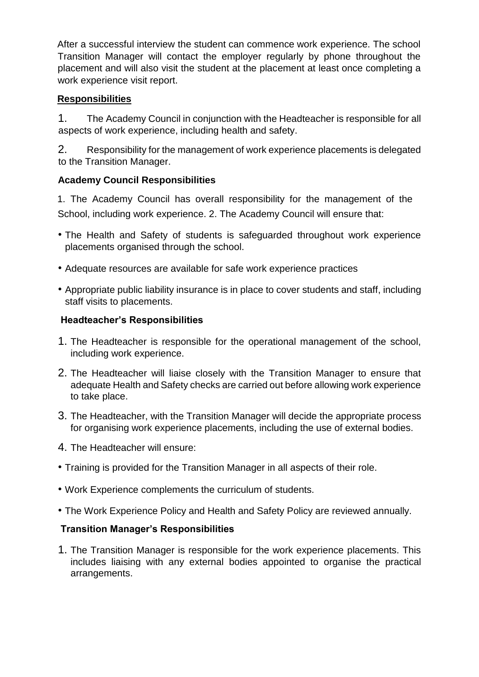After a successful interview the student can commence work experience. The school Transition Manager will contact the employer regularly by phone throughout the placement and will also visit the student at the placement at least once completing a work experience visit report.

### **Responsibilities**

1. The Academy Council in conjunction with the Headteacher is responsible for all aspects of work experience, including health and safety.

2. Responsibility for the management of work experience placements is delegated to the Transition Manager.

### **Academy Council Responsibilities**

1. The Academy Council has overall responsibility for the management of the School, including work experience. 2. The Academy Council will ensure that:

- The Health and Safety of students is safeguarded throughout work experience placements organised through the school.
- Adequate resources are available for safe work experience practices
- Appropriate public liability insurance is in place to cover students and staff, including staff visits to placements.

#### **Headteacher's Responsibilities**

- 1. The Headteacher is responsible for the operational management of the school, including work experience.
- 2. The Headteacher will liaise closely with the Transition Manager to ensure that adequate Health and Safety checks are carried out before allowing work experience to take place.
- 3. The Headteacher, with the Transition Manager will decide the appropriate process for organising work experience placements, including the use of external bodies.
- 4. The Headteacher will ensure:
- Training is provided for the Transition Manager in all aspects of their role.
- Work Experience complements the curriculum of students.
- The Work Experience Policy and Health and Safety Policy are reviewed annually.

### **Transition Manager's Responsibilities**

1. The Transition Manager is responsible for the work experience placements. This includes liaising with any external bodies appointed to organise the practical arrangements.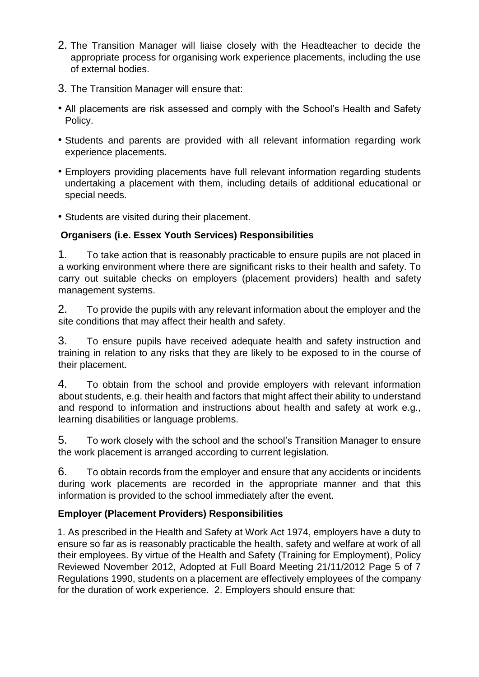- 2. The Transition Manager will liaise closely with the Headteacher to decide the appropriate process for organising work experience placements, including the use of external bodies.
- 3. The Transition Manager will ensure that:
- All placements are risk assessed and comply with the School's Health and Safety Policy.
- Students and parents are provided with all relevant information regarding work experience placements.
- Employers providing placements have full relevant information regarding students undertaking a placement with them, including details of additional educational or special needs.
- Students are visited during their placement.

## **Organisers (i.e. Essex Youth Services) Responsibilities**

1. To take action that is reasonably practicable to ensure pupils are not placed in a working environment where there are significant risks to their health and safety. To carry out suitable checks on employers (placement providers) health and safety management systems.

2. To provide the pupils with any relevant information about the employer and the site conditions that may affect their health and safety.

3. To ensure pupils have received adequate health and safety instruction and training in relation to any risks that they are likely to be exposed to in the course of their placement.

4. To obtain from the school and provide employers with relevant information about students, e.g. their health and factors that might affect their ability to understand and respond to information and instructions about health and safety at work e.g., learning disabilities or language problems.

5. To work closely with the school and the school's Transition Manager to ensure the work placement is arranged according to current legislation.

6. To obtain records from the employer and ensure that any accidents or incidents during work placements are recorded in the appropriate manner and that this information is provided to the school immediately after the event.

## **Employer (Placement Providers) Responsibilities**

1. As prescribed in the Health and Safety at Work Act 1974, employers have a duty to ensure so far as is reasonably practicable the health, safety and welfare at work of all their employees. By virtue of the Health and Safety (Training for Employment), Policy Reviewed November 2012, Adopted at Full Board Meeting 21/11/2012 Page 5 of 7 Regulations 1990, students on a placement are effectively employees of the company for the duration of work experience. 2. Employers should ensure that: